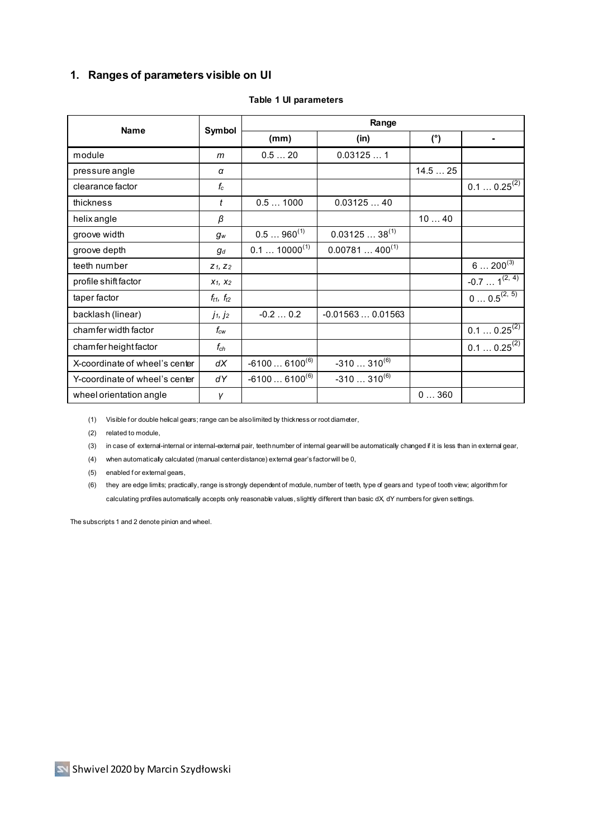## **1. Ranges of parameters visible on UI**

| <b>Name</b>                    | Symbol                      | Range                      |                    |        |                     |
|--------------------------------|-----------------------------|----------------------------|--------------------|--------|---------------------|
|                                |                             | (mm)                       | (in)               | (°)    |                     |
| module                         | m                           | 0.520                      | 0.031251           |        |                     |
| pressure angle                 | α                           |                            |                    | 14.525 |                     |
| clearance factor               | $f_c$                       |                            |                    |        | $0.10.25^{(2)}$     |
| thickness                      | t                           | 0.51000                    | 0.0312540          |        |                     |
| helix angle                    | β                           |                            |                    | 1040   |                     |
| groove width                   | $g_w$                       | $0.5960^{(1)}$             | $0.0312538^{(1)}$  |        |                     |
| groove depth                   | $g_d$                       | $0.1$ 10000 <sup>(1)</sup> | $0.00781400^{(1)}$ |        |                     |
| teeth number                   | $Z_1, Z_2$                  |                            |                    |        | $6200^{(3)}$        |
| profile shift factor           | $X_1, X_2$                  |                            |                    |        | $-0.7$ $1^{(2, 4)}$ |
| taper factor                   | $f_{t1}, f_{t2}$            |                            |                    |        | $0 0.5^{(2, 5)}$    |
| backlash (linear)              | $j_1, j_2$                  | $-0.20.2$                  | $-0.015630.01563$  |        |                     |
| chamfer width factor           | $f_{\scriptscriptstyle CW}$ |                            |                    |        | $0.10.25^{(2)}$     |
| chamfer height factor          | $f_{ch}$                    |                            |                    |        | $0.10.25^{(2)}$     |
| X-coordinate of wheel's center | dX                          | $-61006100^{(6)}$          | $-310310^{(6)}$    |        |                     |
| Y-coordinate of wheel's center | dY                          | $-61006100^{(6)}$          | $-310310^{(6)}$    |        |                     |
| wheel orientation angle        | γ                           |                            |                    | 0360   |                     |

#### **Table 1 UI parameters**

(1) Visible for double helical gears; range can be also limited by thickness or root diameter,

(2) related to module,

(3) in case of external-internal or internal-external pair, teeth number of internal gear will be automatically changed if it is less than in external gear,

(4) when automatically calculated (manual center distance) external gear's factor will be 0,

(5) enabled for external gears,

(6) they are edge limits; practically, range is strongly dependent of module, number of teeth, type of gears and type of tooth view; algorithm for calculating profiles automatically accepts only reasonable values, slightly different than basic dX, dY numbers for given settings.

The subscripts 1 and 2 denote pinion and wheel.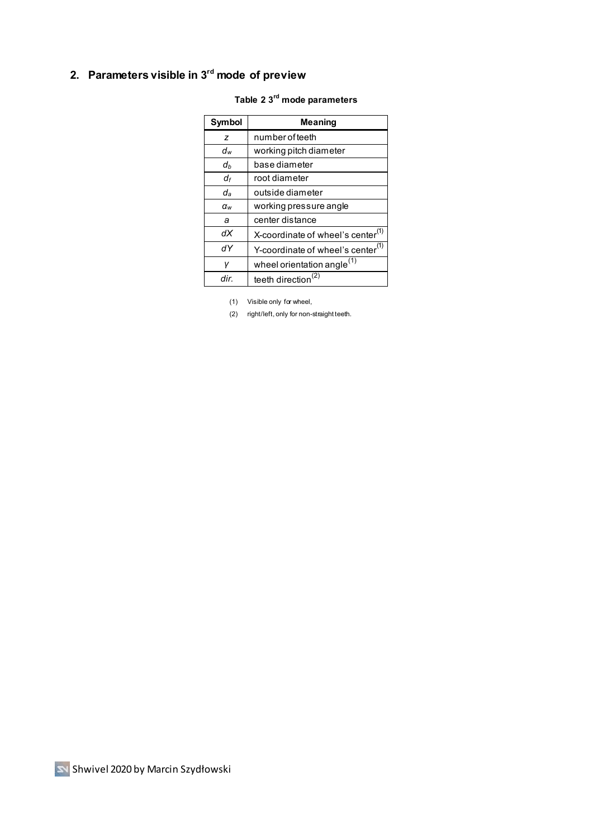# **2. Parameters visible in 3rd mode of preview**

| Symbol | <b>Meaning</b>                                |  |  |
|--------|-----------------------------------------------|--|--|
| z      | number of teeth                               |  |  |
| dw     | working pitch diameter                        |  |  |
| dь     | base diameter                                 |  |  |
| df     | root diameter                                 |  |  |
| da     | outside diameter                              |  |  |
| aw     | working pressure angle                        |  |  |
| а      | center distance                               |  |  |
| dX     | X-coordinate of wheel's center <sup>(1)</sup> |  |  |
| dΥ     | Y-coordinate of wheel's center <sup>(1)</sup> |  |  |
| v      | wheel orientation angle <sup>(1)</sup>        |  |  |
| dir.   | teeth direction <sup>(2)</sup>                |  |  |

#### **Table 2 3 rd mode parameters**

(1) Visible only for wheel,

(2) right/left, only for non-straight teeth.